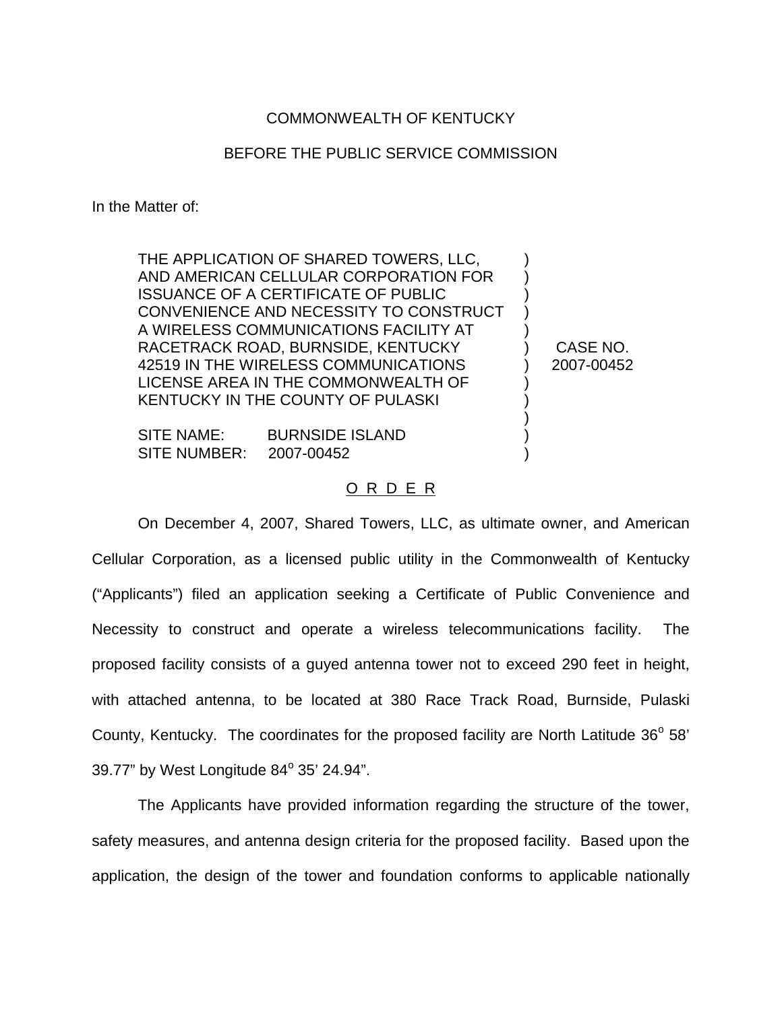## COMMONWEALTH OF KENTUCKY

## BEFORE THE PUBLIC SERVICE COMMISSION

In the Matter of:

THE APPLICATION OF SHARED TOWERS, LLC, AND AMERICAN CELLULAR CORPORATION FOR ISSUANCE OF A CERTIFICATE OF PUBLIC CONVENIENCE AND NECESSITY TO CONSTRUCT A WIRELESS COMMUNICATIONS FACILITY AT RACETRACK ROAD, BURNSIDE, KENTUCKY 42519 IN THE WIRELESS COMMUNICATIONS LICENSE AREA IN THE COMMONWEALTH OF KENTUCKY IN THE COUNTY OF PULASKI

SITE NAME: BURNSIDE ISLAND SITE NUMBER: 2007-00452

CASE NO. 2007-00452

) ) ) ) ) ) ) ) ) ) ) )

## <u>O R D E R</u>

On December 4, 2007, Shared Towers, LLC, as ultimate owner, and American Cellular Corporation, as a licensed public utility in the Commonwealth of Kentucky ("Applicants") filed an application seeking a Certificate of Public Convenience and Necessity to construct and operate a wireless telecommunications facility. The proposed facility consists of a guyed antenna tower not to exceed 290 feet in height, with attached antenna, to be located at 380 Race Track Road, Burnside, Pulaski County, Kentucky. The coordinates for the proposed facility are North Latitude  $36^{\circ}$  58' 39.77" by West Longitude  $84^{\circ}$  35' 24.94".

The Applicants have provided information regarding the structure of the tower, safety measures, and antenna design criteria for the proposed facility. Based upon the application, the design of the tower and foundation conforms to applicable nationally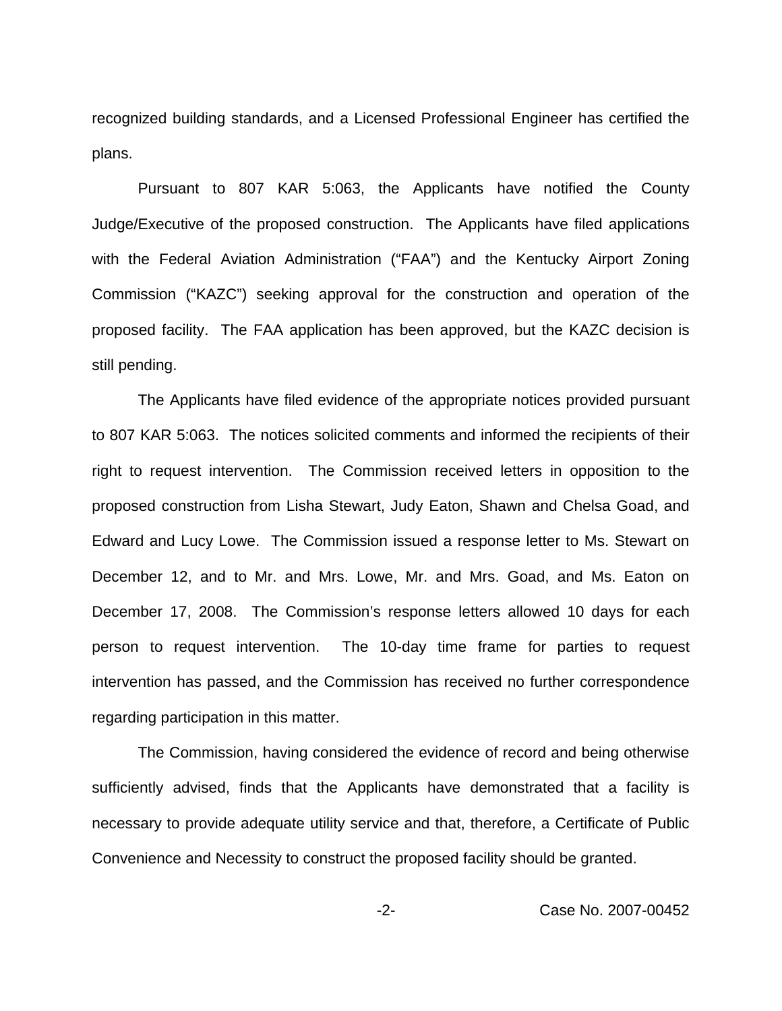recognized building standards, and a Licensed Professional Engineer has certified the plans.

Pursuant to 807 KAR 5:063, the Applicants have notified the County Judge/Executive of the proposed construction. The Applicants have filed applications with the Federal Aviation Administration ("FAA") and the Kentucky Airport Zoning Commission ("KAZC") seeking approval for the construction and operation of the proposed facility. The FAA application has been approved, but the KAZC decision is still pending.

The Applicants have filed evidence of the appropriate notices provided pursuant to 807 KAR 5:063. The notices solicited comments and informed the recipients of their right to request intervention. The Commission received letters in opposition to the proposed construction from Lisha Stewart, Judy Eaton, Shawn and Chelsa Goad, and Edward and Lucy Lowe. The Commission issued a response letter to Ms. Stewart on December 12, and to Mr. and Mrs. Lowe, Mr. and Mrs. Goad, and Ms. Eaton on December 17, 2008. The Commission's response letters allowed 10 days for each person to request intervention. The 10-day time frame for parties to request intervention has passed, and the Commission has received no further correspondence regarding participation in this matter.

The Commission, having considered the evidence of record and being otherwise sufficiently advised, finds that the Applicants have demonstrated that a facility is necessary to provide adequate utility service and that, therefore, a Certificate of Public Convenience and Necessity to construct the proposed facility should be granted.

-2- Case No. 2007-00452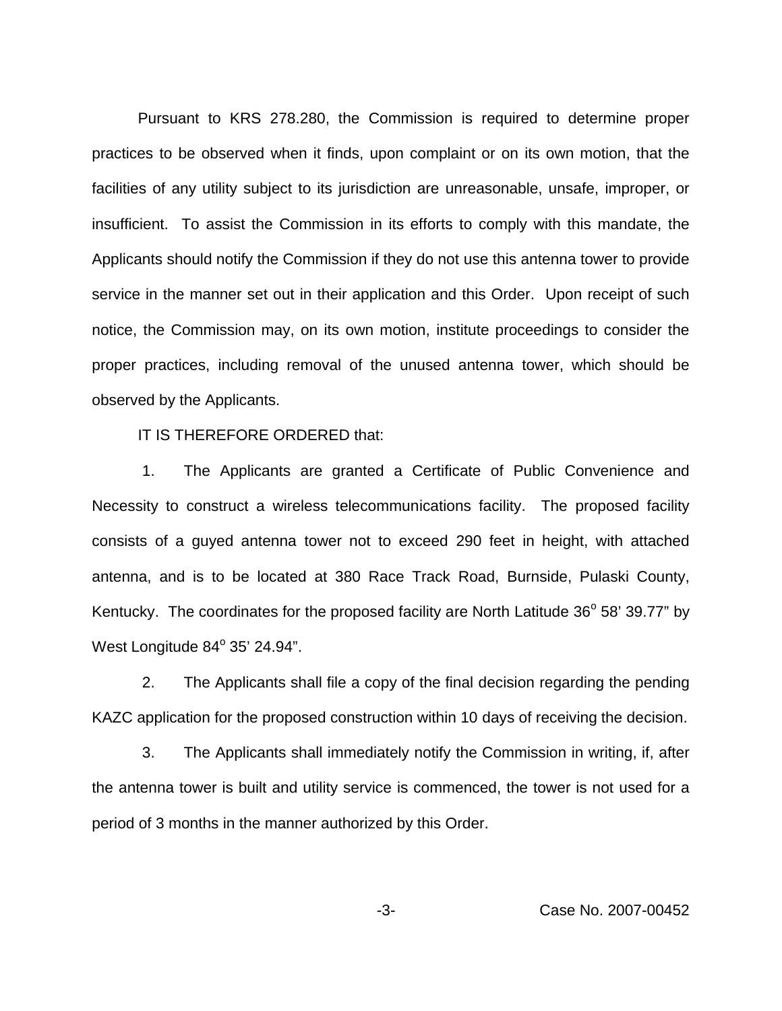Pursuant to KRS 278.280, the Commission is required to determine proper practices to be observed when it finds, upon complaint or on its own motion, that the facilities of any utility subject to its jurisdiction are unreasonable, unsafe, improper, or insufficient. To assist the Commission in its efforts to comply with this mandate, the Applicants should notify the Commission if they do not use this antenna tower to provide service in the manner set out in their application and this Order. Upon receipt of such notice, the Commission may, on its own motion, institute proceedings to consider the proper practices, including removal of the unused antenna tower, which should be observed by the Applicants.

IT IS THEREFORE ORDERED that:

1. The Applicants are granted a Certificate of Public Convenience and Necessity to construct a wireless telecommunications facility. The proposed facility consists of a guyed antenna tower not to exceed 290 feet in height, with attached antenna, and is to be located at 380 Race Track Road, Burnside, Pulaski County, Kentucky. The coordinates for the proposed facility are North Latitude  $36^{\circ}$  58' 39.77" by West Longitude  $84^\circ$  35' 24.94".

2. The Applicants shall file a copy of the final decision regarding the pending KAZC application for the proposed construction within 10 days of receiving the decision.

3. The Applicants shall immediately notify the Commission in writing, if, after the antenna tower is built and utility service is commenced, the tower is not used for a period of 3 months in the manner authorized by this Order.